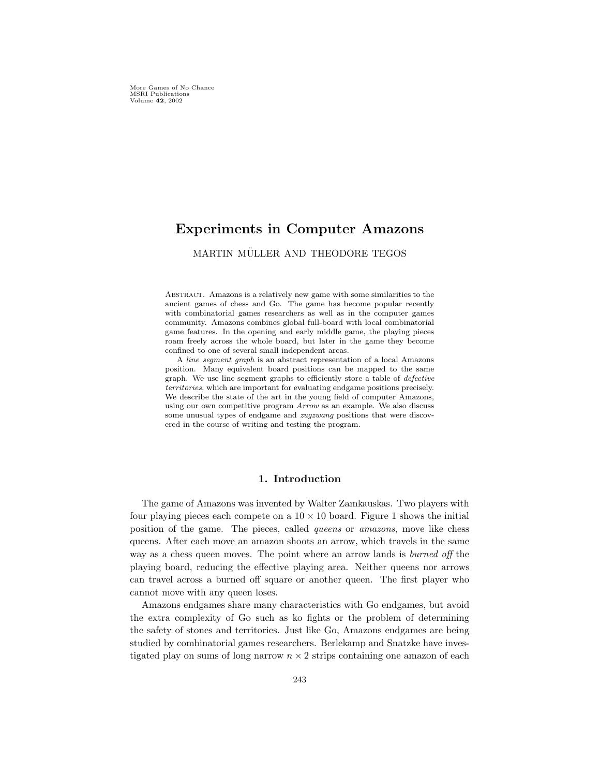More Games of No Chance MSRI Publications Volume 42, 2002

# Experiments in Computer Amazons

# MARTIN MÜLLER AND THEODORE TEGOS

Abstract. Amazons is a relatively new game with some similarities to the ancient games of chess and Go. The game has become popular recently with combinatorial games researchers as well as in the computer games community. Amazons combines global full-board with local combinatorial game features. In the opening and early middle game, the playing pieces roam freely across the whole board, but later in the game they become confined to one of several small independent areas.

A line segment graph is an abstract representation of a local Amazons position. Many equivalent board positions can be mapped to the same graph. We use line segment graphs to efficiently store a table of defective territories, which are important for evaluating endgame positions precisely. We describe the state of the art in the young field of computer Amazons, using our own competitive program Arrow as an example. We also discuss some unusual types of endgame and zugzwang positions that were discovered in the course of writing and testing the program.

## 1. Introduction

The game of Amazons was invented by Walter Zamkauskas. Two players with four playing pieces each compete on a  $10 \times 10$  board. Figure 1 shows the initial position of the game. The pieces, called *queens* or *amazons*, move like chess queens. After each move an amazon shoots an arrow, which travels in the same way as a chess queen moves. The point where an arrow lands is *burned off* the playing board, reducing the effective playing area. Neither queens nor arrows can travel across a burned off square or another queen. The first player who cannot move with any queen loses.

Amazons endgames share many characteristics with Go endgames, but avoid the extra complexity of Go such as ko fights or the problem of determining the safety of stones and territories. Just like Go, Amazons endgames are being studied by combinatorial games researchers. Berlekamp and Snatzke have investigated play on sums of long narrow  $n \times 2$  strips containing one amazon of each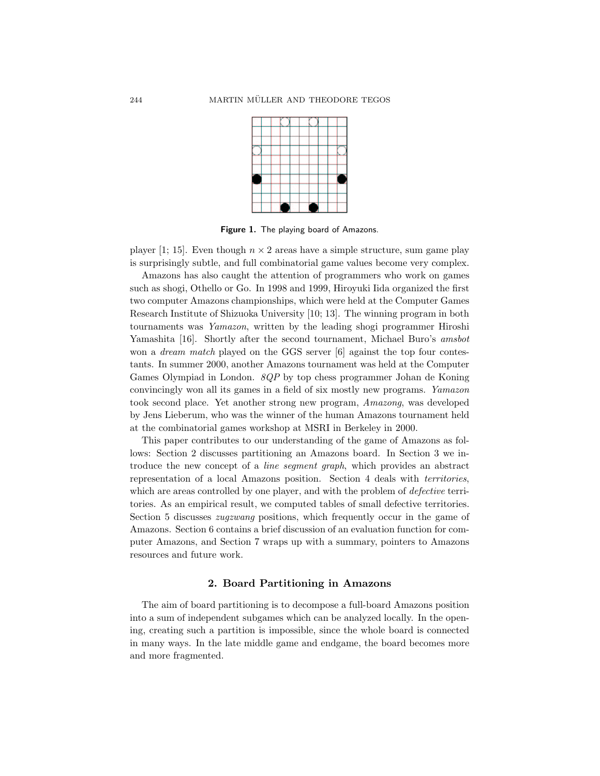

Figure 1. The playing board of Amazons.

player [1; 15]. Even though  $n \times 2$  areas have a simple structure, sum game play is surprisingly subtle, and full combinatorial game values become very complex.

Amazons has also caught the attention of programmers who work on games such as shogi, Othello or Go. In 1998 and 1999, Hiroyuki Iida organized the first two computer Amazons championships, which were held at the Computer Games Research Institute of Shizuoka University [10; 13]. The winning program in both tournaments was Yamazon, written by the leading shogi programmer Hiroshi Yamashita [16]. Shortly after the second tournament, Michael Buro's amsbot won a *dream match* played on the GGS server [6] against the top four contestants. In summer 2000, another Amazons tournament was held at the Computer Games Olympiad in London.  $\mathcal{SQP}$  by top chess programmer Johan de Koning convincingly won all its games in a field of six mostly new programs. Yamazon took second place. Yet another strong new program, Amazong, was developed by Jens Lieberum, who was the winner of the human Amazons tournament held at the combinatorial games workshop at MSRI in Berkeley in 2000.

This paper contributes to our understanding of the game of Amazons as follows: Section 2 discusses partitioning an Amazons board. In Section 3 we introduce the new concept of a *line segment graph*, which provides an abstract representation of a local Amazons position. Section 4 deals with territories, which are areas controlled by one player, and with the problem of *defective* territories. As an empirical result, we computed tables of small defective territories. Section 5 discusses *zugzwang* positions, which frequently occur in the game of Amazons. Section 6 contains a brief discussion of an evaluation function for computer Amazons, and Section 7 wraps up with a summary, pointers to Amazons resources and future work.

#### 2. Board Partitioning in Amazons

The aim of board partitioning is to decompose a full-board Amazons position into a sum of independent subgames which can be analyzed locally. In the opening, creating such a partition is impossible, since the whole board is connected in many ways. In the late middle game and endgame, the board becomes more and more fragmented.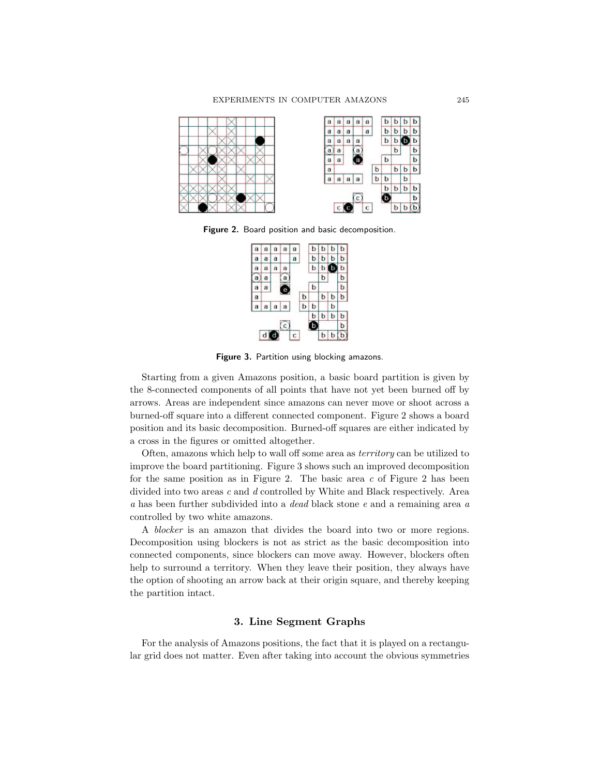

Figure 2. Board position and basic decomposition.



Figure 3. Partition using blocking amazons.

Starting from a given Amazons position, a basic board partition is given by the 8-connected components of all points that have not yet been burned off by arrows. Areas are independent since amazons can never move or shoot across a burned-off square into a different connected component. Figure 2 shows a board position and its basic decomposition. Burned-off squares are either indicated by a cross in the figures or omitted altogether.

Often, amazons which help to wall off some area as territory can be utilized to improve the board partitioning. Figure 3 shows such an improved decomposition for the same position as in Figure 2. The basic area  $c$  of Figure 2 has been divided into two areas  $c$  and  $d$  controlled by White and Black respectively. Area a has been further subdivided into a dead black stone e and a remaining area a controlled by two white amazons.

A blocker is an amazon that divides the board into two or more regions. Decomposition using blockers is not as strict as the basic decomposition into connected components, since blockers can move away. However, blockers often help to surround a territory. When they leave their position, they always have the option of shooting an arrow back at their origin square, and thereby keeping the partition intact.

# 3. Line Segment Graphs

For the analysis of Amazons positions, the fact that it is played on a rectangular grid does not matter. Even after taking into account the obvious symmetries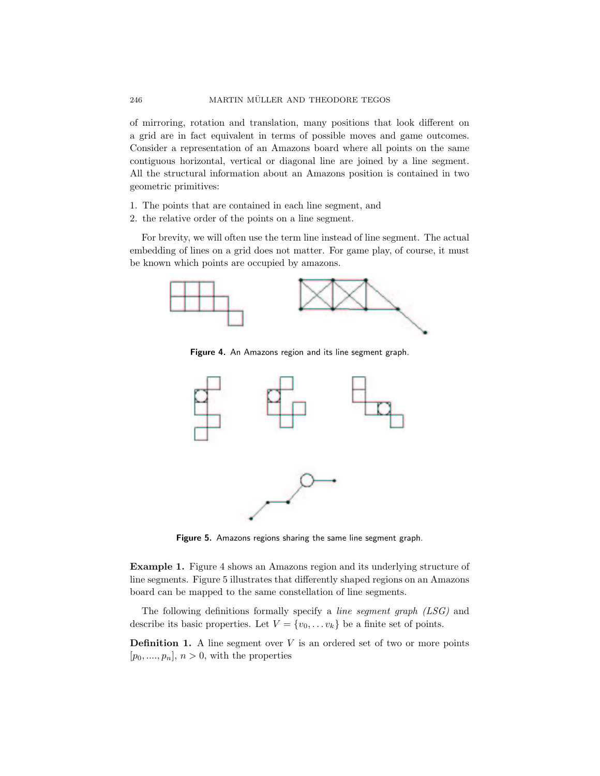of mirroring, rotation and translation, many positions that look different on a grid are in fact equivalent in terms of possible moves and game outcomes. Consider a representation of an Amazons board where all points on the same contiguous horizontal, vertical or diagonal line are joined by a line segment. All the structural information about an Amazons position is contained in two geometric primitives:

- 1. The points that are contained in each line segment, and
- 2. the relative order of the points on a line segment.

For brevity, we will often use the term line instead of line segment. The actual embedding of lines on a grid does not matter. For game play, of course, it must be known which points are occupied by amazons.



Figure 4. An Amazons region and its line segment graph.



Figure 5. Amazons regions sharing the same line segment graph.

Example 1. Figure 4 shows an Amazons region and its underlying structure of line segments. Figure 5 illustrates that differently shaped regions on an Amazons board can be mapped to the same constellation of line segments.

The following definitions formally specify a line segment graph (LSG) and describe its basic properties. Let  $V = \{v_0, \ldots v_k\}$  be a finite set of points.

**Definition 1.** A line segment over  $V$  is an ordered set of two or more points  $[p_0, \ldots, p_n], n > 0$ , with the properties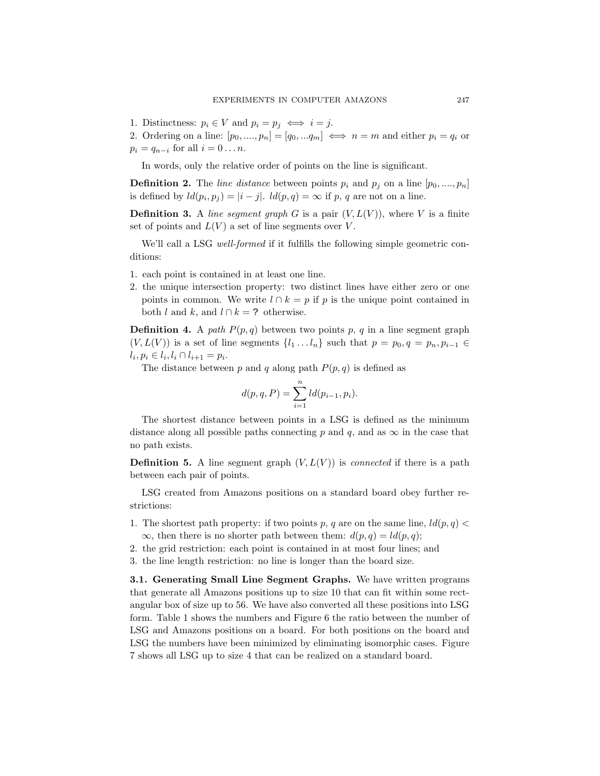1. Distinctness:  $p_i \in V$  and  $p_i = p_j \iff i = j$ .

2. Ordering on a line:  $[p_0, ..., p_n] = [q_0, ..., q_m] \iff n = m$  and either  $p_i = q_i$  or  $p_i = q_{n-i}$  for all  $i = 0 \dots n$ .

In words, only the relative order of points on the line is significant.

**Definition 2.** The line distance between points  $p_i$  and  $p_j$  on a line  $[p_0, \ldots, p_n]$ is defined by  $ld(p_i, p_j) = |i - j|$ .  $ld(p, q) = \infty$  if p, q are not on a line.

**Definition 3.** A line segment graph G is a pair  $(V, L(V))$ , where V is a finite set of points and  $L(V)$  a set of line segments over V.

We'll call a LSG well-formed if it fulfills the following simple geometric conditions:

- 1. each point is contained in at least one line.
- 2. the unique intersection property: two distinct lines have either zero or one points in common. We write  $l \cap k = p$  if p is the unique point contained in both l and k, and  $l \cap k = ?$  otherwise.

**Definition 4.** A path  $P(p,q)$  between two points p, q in a line segment graph  $(V, L(V))$  is a set of line segments  $\{l_1 \dots l_n\}$  such that  $p = p_0, q = p_n, p_{i-1} \in$  $l_i, p_i \in l_i, l_i \cap l_{i+1} = p_i.$ 

The distance between p and q along path  $P(p, q)$  is defined as

$$
d(p, q, P) = \sum_{i=1}^{n} ld(p_{i-1}, p_i).
$$

The shortest distance between points in a LSG is defined as the minimum distance along all possible paths connecting p and q, and as  $\infty$  in the case that no path exists.

**Definition 5.** A line segment graph  $(V, L(V))$  is *connected* if there is a path between each pair of points.

LSG created from Amazons positions on a standard board obey further restrictions:

- 1. The shortest path property: if two points p, q are on the same line,  $ld(p, q)$  $\infty$ , then there is no shorter path between them:  $d(p, q) = ld(p, q)$ ;
- 2. the grid restriction: each point is contained in at most four lines; and
- 3. the line length restriction: no line is longer than the board size.

3.1. Generating Small Line Segment Graphs. We have written programs that generate all Amazons positions up to size 10 that can fit within some rectangular box of size up to 56. We have also converted all these positions into LSG form. Table 1 shows the numbers and Figure 6 the ratio between the number of LSG and Amazons positions on a board. For both positions on the board and LSG the numbers have been minimized by eliminating isomorphic cases. Figure 7 shows all LSG up to size 4 that can be realized on a standard board.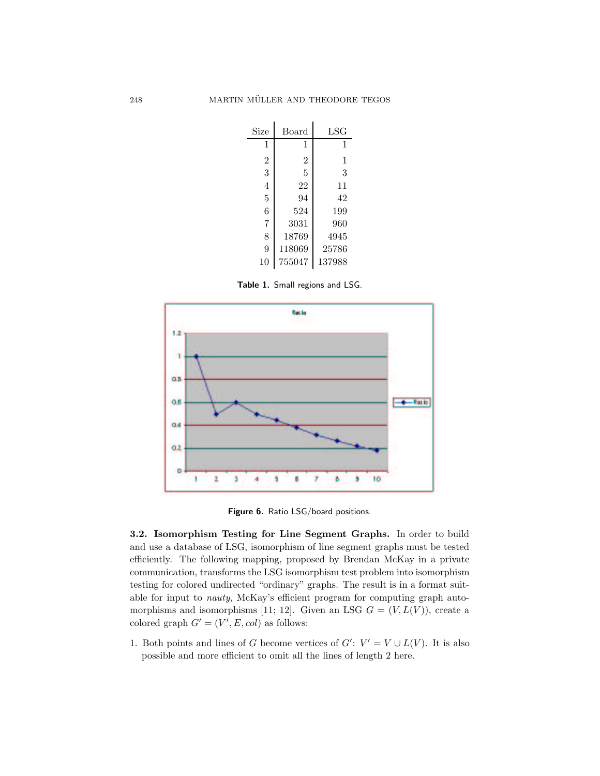| Size           | Board          | $_{\rm LSG}$ |
|----------------|----------------|--------------|
| 1              | 1              | 1            |
| $\overline{2}$ | $\overline{2}$ | 1            |
| 3              | 5              | 3            |
| $\overline{4}$ | 22             | 11           |
| 5              | 94             | 42           |
| 6              | 524            | 199          |
| 7              | 3031           | 960          |
| 8              | 18769          | 4945         |
| 9              | 118069         | 25786        |
| 10             | 755047         | 137988       |

Table 1. Small regions and LSG.



Figure 6. Ratio LSG/board positions.

3.2. Isomorphism Testing for Line Segment Graphs. In order to build and use a database of LSG, isomorphism of line segment graphs must be tested efficiently. The following mapping, proposed by Brendan McKay in a private communication, transforms the LSG isomorphism test problem into isomorphism testing for colored undirected "ordinary" graphs. The result is in a format suitable for input to nauty, McKay's efficient program for computing graph automorphisms and isomorphisms [11; 12]. Given an LSG  $G = (V, L(V))$ , create a colored graph  $G' = (V', E, col)$  as follows:

1. Both points and lines of G become vertices of  $G'$ :  $V' = V \cup L(V)$ . It is also possible and more efficient to omit all the lines of length 2 here.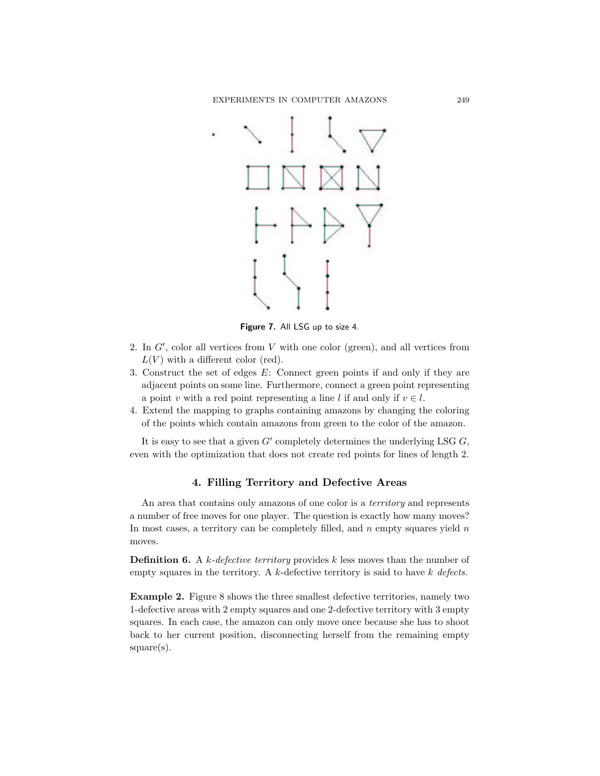

Figure 7. All LSG up to size 4.

- 2. In  $G'$ , color all vertices from  $V$  with one color (green), and all vertices from  $L(V)$  with a different color (red).
- 3. Construct the set of edges E: Connect green points if and only if they are adjacent points on some line. Furthermore, connect a green point representing a point v with a red point representing a line l if and only if  $v \in l$ .
- 4. Extend the mapping to graphs containing amazons by changing the coloring of the points which contain amazons from green to the color of the amazon.

It is easy to see that a given  $G'$  completely determines the underlying LSG  $G$ , even with the optimization that does not create red points for lines of length 2.

## 4. Filling Territory and Defective Areas

An area that contains only amazons of one color is a *territory* and represents a number of free moves for one player. The question is exactly how many moves? In most cases, a territory can be completely filled, and  $n$  empty squares yield  $n$ moves.

**Definition 6.** A k-defective territory provides k less moves than the number of empty squares in the territory. A  $k$ -defective territory is said to have  $k$  defects.

Example 2. Figure 8 shows the three smallest defective territories, namely two 1-defective areas with 2 empty squares and one 2-defective territory with 3 empty squares. In each case, the amazon can only move once because she has to shoot back to her current position, disconnecting herself from the remaining empty square(s).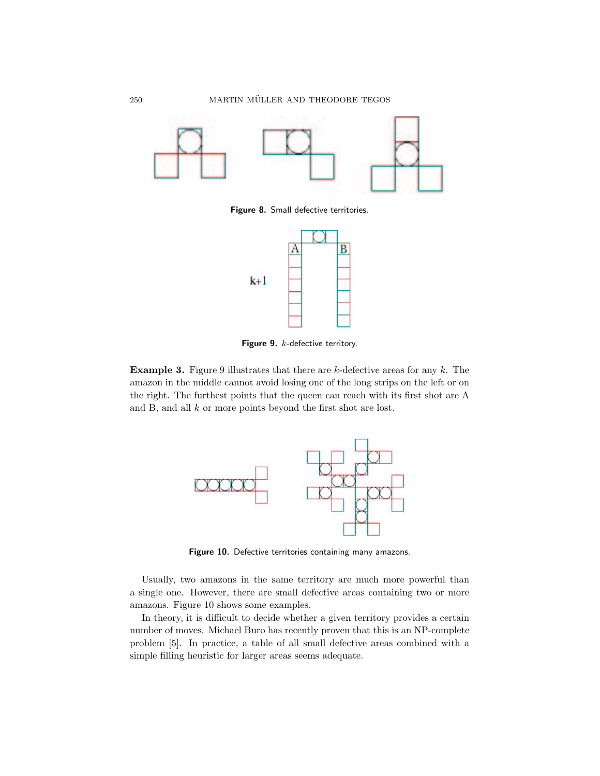

Figure 8. Small defective territories.



Figure 9. k-defective territory.

**Example 3.** Figure 9 illustrates that there are  $k$ -defective areas for any  $k$ . The amazon in the middle cannot avoid losing one of the long strips on the left or on the right. The furthest points that the queen can reach with its first shot are A and B, and all k or more points beyond the first shot are lost.



Figure 10. Defective territories containing many amazons.

Usually, two amazons in the same territory are much more powerful than a single one. However, there are small defective areas containing two or more amazons. Figure 10 shows some examples.

In theory, it is difficult to decide whether a given territory provides a certain number of moves. Michael Buro has recently proven that this is an NP-complete problem [5]. In practice, a table of all small defective areas combined with a simple filling heuristic for larger areas seems adequate.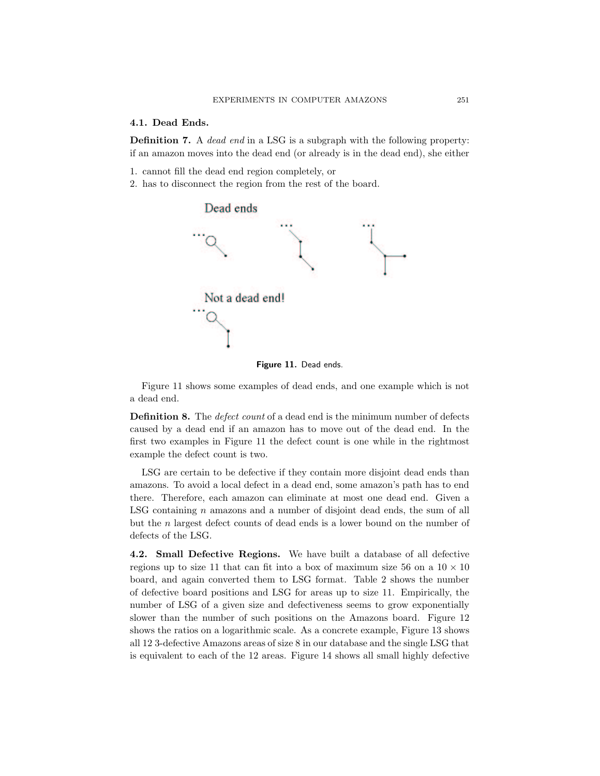#### 4.1. Dead Ends.

Definition 7. A dead end in a LSG is a subgraph with the following property: if an amazon moves into the dead end (or already is in the dead end), she either

- 1. cannot fill the dead end region completely, or
- 2. has to disconnect the region from the rest of the board.





Figure 11 shows some examples of dead ends, and one example which is not a dead end.

**Definition 8.** The *defect count* of a dead end is the minimum number of defects caused by a dead end if an amazon has to move out of the dead end. In the first two examples in Figure 11 the defect count is one while in the rightmost example the defect count is two.

LSG are certain to be defective if they contain more disjoint dead ends than amazons. To avoid a local defect in a dead end, some amazon's path has to end there. Therefore, each amazon can eliminate at most one dead end. Given a LSG containing  $n$  amazons and a number of disjoint dead ends, the sum of all but the n largest defect counts of dead ends is a lower bound on the number of defects of the LSG.

4.2. Small Defective Regions. We have built a database of all defective regions up to size 11 that can fit into a box of maximum size 56 on a  $10 \times 10$ board, and again converted them to LSG format. Table 2 shows the number of defective board positions and LSG for areas up to size 11. Empirically, the number of LSG of a given size and defectiveness seems to grow exponentially slower than the number of such positions on the Amazons board. Figure 12 shows the ratios on a logarithmic scale. As a concrete example, Figure 13 shows all 12 3-defective Amazons areas of size 8 in our database and the single LSG that is equivalent to each of the 12 areas. Figure 14 shows all small highly defective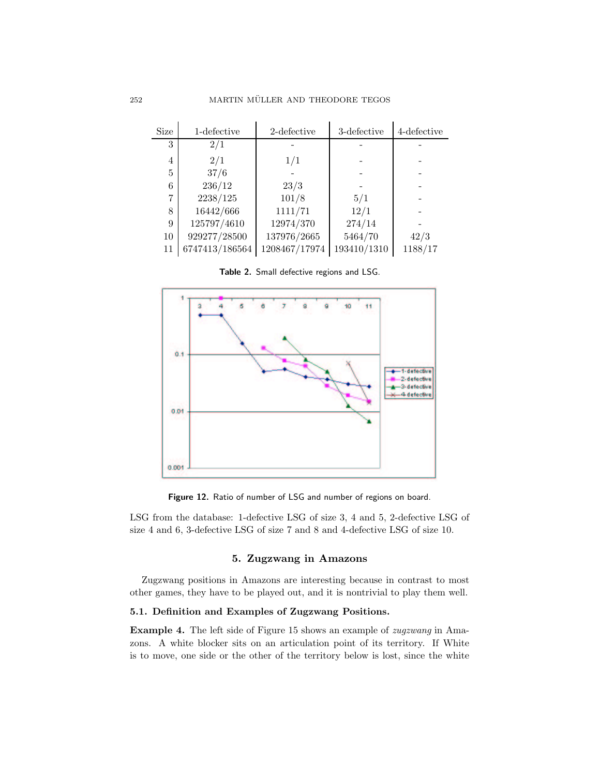| Size           | 1-defective    | 2-defective   | 3-defective | 4-defective |
|----------------|----------------|---------------|-------------|-------------|
| 3              | 2/1            |               |             |             |
| $\overline{4}$ | 2/1            | 1/1           |             |             |
| 5              | 37/6           |               |             |             |
| 6              | 236/12         | 23/3          |             |             |
| 7              | 2238/125       | 101/8         | 5/1         |             |
| 8              | 16442/666      | 1111/71       | 12/1        |             |
| 9              | 125797/4610    | 12974/370     | 274/14      |             |
| 10             | 929277/28500   | 137976/2665   | 5464/70     | 42/3        |
| 11             | 6747413/186564 | 1208467/17974 | 193410/1310 | 1188/17     |

Table 2. Small defective regions and LSG.



Figure 12. Ratio of number of LSG and number of regions on board.

LSG from the database: 1-defective LSG of size 3, 4 and 5, 2-defective LSG of size 4 and 6, 3-defective LSG of size 7 and 8 and 4-defective LSG of size 10.

# 5. Zugzwang in Amazons

Zugzwang positions in Amazons are interesting because in contrast to most other games, they have to be played out, and it is nontrivial to play them well.

# 5.1. Definition and Examples of Zugzwang Positions.

Example 4. The left side of Figure 15 shows an example of *zugzwang* in Amazons. A white blocker sits on an articulation point of its territory. If White is to move, one side or the other of the territory below is lost, since the white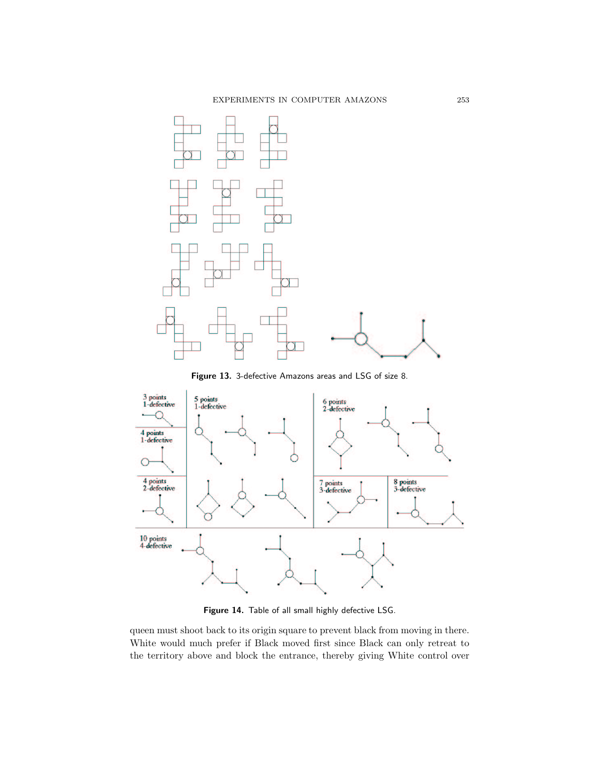

Figure 13. 3-defective Amazons areas and LSG of size 8.



Figure 14. Table of all small highly defective LSG.

queen must shoot back to its origin square to prevent black from moving in there. White would much prefer if Black moved first since Black can only retreat to the territory above and block the entrance, thereby giving White control over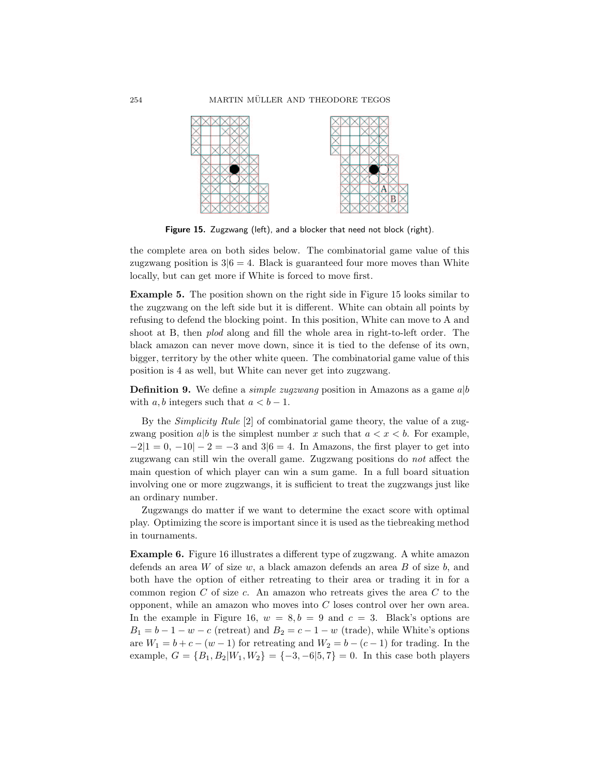

Figure 15. Zugzwang (left), and a blocker that need not block (right).

the complete area on both sides below. The combinatorial game value of this zugzwang position is  $3/6 = 4$ . Black is guaranteed four more moves than White locally, but can get more if White is forced to move first.

Example 5. The position shown on the right side in Figure 15 looks similar to the zugzwang on the left side but it is different. White can obtain all points by refusing to defend the blocking point. In this position, White can move to A and shoot at B, then *plod* along and fill the whole area in right-to-left order. The black amazon can never move down, since it is tied to the defense of its own, bigger, territory by the other white queen. The combinatorial game value of this position is 4 as well, but White can never get into zugzwang.

**Definition 9.** We define a *simple zugzwang* position in Amazons as a game  $a|b$ with a, b integers such that  $a < b - 1$ .

By the Simplicity Rule [2] of combinatorial game theory, the value of a zugzwang position a|b is the simplest number x such that  $a < x < b$ . For example,  $-2|1 = 0, -10| - 2 = -3$  and  $3|6 = 4$ . In Amazons, the first player to get into zugzwang can still win the overall game. Zugzwang positions do not affect the main question of which player can win a sum game. In a full board situation involving one or more zugzwangs, it is sufficient to treat the zugzwangs just like an ordinary number.

Zugzwangs do matter if we want to determine the exact score with optimal play. Optimizing the score is important since it is used as the tiebreaking method in tournaments.

Example 6. Figure 16 illustrates a different type of zugzwang. A white amazon defends an area W of size w, a black amazon defends an area B of size  $b$ , and both have the option of either retreating to their area or trading it in for a common region  $C$  of size  $c$ . An amazon who retreats gives the area  $C$  to the opponent, while an amazon who moves into  $C$  loses control over her own area. In the example in Figure 16,  $w = 8, b = 9$  and  $c = 3$ . Black's options are  $B_1 = b - 1 - w - c$  (retreat) and  $B_2 = c - 1 - w$  (trade), while White's options are  $W_1 = b + c - (w - 1)$  for retreating and  $W_2 = b - (c - 1)$  for trading. In the example,  $G = \{B_1, B_2 | W_1, W_2\} = \{-3, -6|5, 7\} = 0$ . In this case both players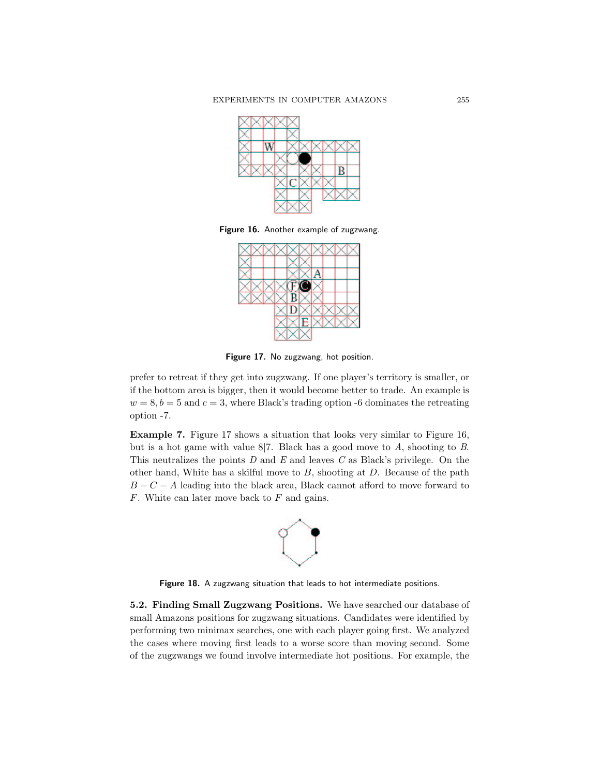

Figure 16. Another example of zugzwang.



Figure 17. No zugzwang, hot position.

prefer to retreat if they get into zugzwang. If one player's territory is smaller, or if the bottom area is bigger, then it would become better to trade. An example is  $w = 8, b = 5$  and  $c = 3$ , where Black's trading option -6 dominates the retreating option -7.

Example 7. Figure 17 shows a situation that looks very similar to Figure 16, but is a hot game with value  $8/7$ . Black has a good move to A, shooting to B. This neutralizes the points  $D$  and  $E$  and leaves  $C$  as Black's privilege. On the other hand, White has a skilful move to  $B$ , shooting at  $D$ . Because of the path  $B - C - A$  leading into the black area, Black cannot afford to move forward to  $F$ . White can later move back to  $F$  and gains.



Figure 18. A zugzwang situation that leads to hot intermediate positions.

5.2. Finding Small Zugzwang Positions. We have searched our database of small Amazons positions for zugzwang situations. Candidates were identified by performing two minimax searches, one with each player going first. We analyzed the cases where moving first leads to a worse score than moving second. Some of the zugzwangs we found involve intermediate hot positions. For example, the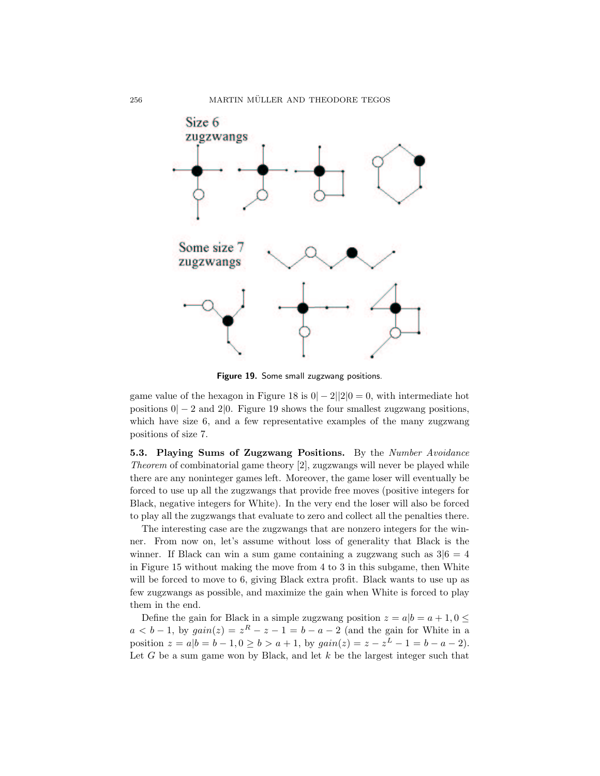

Figure 19. Some small zugzwang positions.

game value of the hexagon in Figure 18 is  $0|-2||2|0=0$ , with intermediate hot positions  $0|-2$  and  $2|0$ . Figure 19 shows the four smallest zugzwang positions, which have size 6, and a few representative examples of the many zugzwang positions of size 7.

5.3. Playing Sums of Zugzwang Positions. By the Number Avoidance Theorem of combinatorial game theory [2], zugzwangs will never be played while there are any noninteger games left. Moreover, the game loser will eventually be forced to use up all the zugzwangs that provide free moves (positive integers for Black, negative integers for White). In the very end the loser will also be forced to play all the zugzwangs that evaluate to zero and collect all the penalties there.

The interesting case are the zugzwangs that are nonzero integers for the winner. From now on, let's assume without loss of generality that Black is the winner. If Black can win a sum game containing a zugzwang such as  $3|6 = 4$ in Figure 15 without making the move from 4 to 3 in this subgame, then White will be forced to move to 6, giving Black extra profit. Black wants to use up as few zugzwangs as possible, and maximize the gain when White is forced to play them in the end.

Define the gain for Black in a simple zugzwang position  $z = a/b = a + 1, 0 \leq$  $a < b-1$ , by  $gain(z) = z<sup>R</sup> - z - 1 = b - a - 2$  (and the gain for White in a position  $z = a|b = b - 1, 0 \ge b > a + 1$ , by  $gain(z) = z - z^L - 1 = b - a - 2$ . Let  $G$  be a sum game won by Black, and let  $k$  be the largest integer such that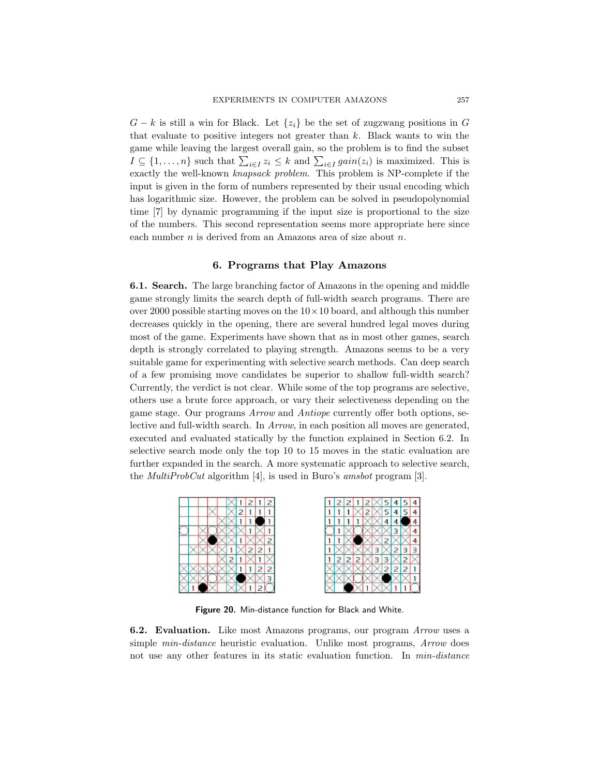$G - k$  is still a win for Black. Let  $\{z_i\}$  be the set of zugzwang positions in G that evaluate to positive integers not greater than  $k$ . Black wants to win the game while leaving the largest overall gain, so the problem is to find the subset  $I \subseteq \{1, \ldots, n\}$  such that  $\sum_{i \in I} z_i \leq k$  and  $\sum_{i \in I} gain(z_i)$  is maximized. This is exactly the well-known knapsack problem. This problem is NP-complete if the input is given in the form of numbers represented by their usual encoding which has logarithmic size. However, the problem can be solved in pseudopolynomial time [7] by dynamic programming if the input size is proportional to the size of the numbers. This second representation seems more appropriate here since each number  $n$  is derived from an Amazons area of size about  $n$ .

## 6. Programs that Play Amazons

6.1. Search. The large branching factor of Amazons in the opening and middle game strongly limits the search depth of full-width search programs. There are over 2000 possible starting moves on the  $10 \times 10$  board, and although this number decreases quickly in the opening, there are several hundred legal moves during most of the game. Experiments have shown that as in most other games, search depth is strongly correlated to playing strength. Amazons seems to be a very suitable game for experimenting with selective search methods. Can deep search of a few promising move candidates be superior to shallow full-width search? Currently, the verdict is not clear. While some of the top programs are selective, others use a brute force approach, or vary their selectiveness depending on the game stage. Our programs Arrow and Antiope currently offer both options, selective and full-width search. In Arrow, in each position all moves are generated, executed and evaluated statically by the function explained in Section 6.2. In selective search mode only the top 10 to 15 moves in the static evaluation are further expanded in the search. A more systematic approach to selective search, the *MultiProbCut* algorithm  $[4]$ , is used in Buro's *amsbot* program  $[3]$ .



Figure 20. Min-distance function for Black and White.

6.2. Evaluation. Like most Amazons programs, our program Arrow uses a simple *min-distance* heuristic evaluation. Unlike most programs, *Arrow* does not use any other features in its static evaluation function. In *min-distance*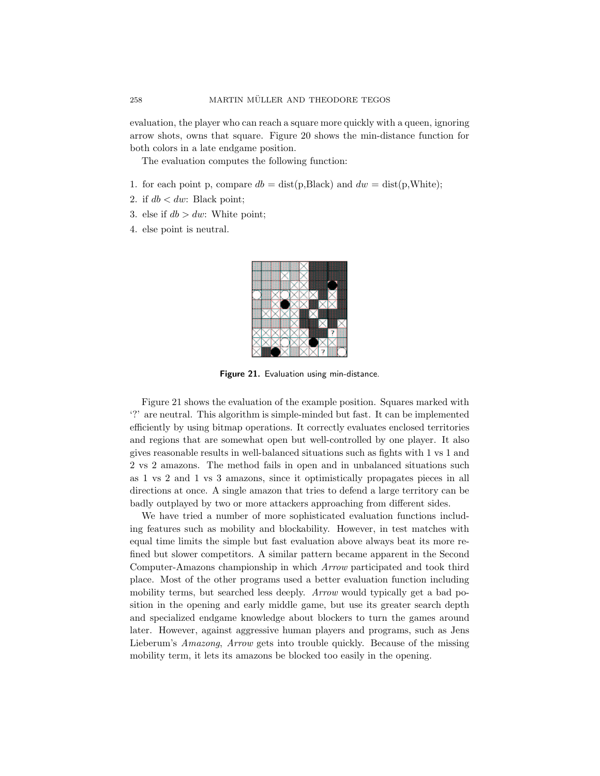evaluation, the player who can reach a square more quickly with a queen, ignoring arrow shots, owns that square. Figure 20 shows the min-distance function for both colors in a late endgame position.

The evaluation computes the following function:

- 1. for each point p, compare  $db = dist(p, Black)$  and  $dw = dist(p, White);$
- 2. if  $db < dw$ : Black point;
- 3. else if  $db > dw$ : White point;
- 4. else point is neutral.



Figure 21. Evaluation using min-distance.

Figure 21 shows the evaluation of the example position. Squares marked with '?' are neutral. This algorithm is simple-minded but fast. It can be implemented efficiently by using bitmap operations. It correctly evaluates enclosed territories and regions that are somewhat open but well-controlled by one player. It also gives reasonable results in well-balanced situations such as fights with 1 vs 1 and 2 vs 2 amazons. The method fails in open and in unbalanced situations such as 1 vs 2 and 1 vs 3 amazons, since it optimistically propagates pieces in all directions at once. A single amazon that tries to defend a large territory can be badly outplayed by two or more attackers approaching from different sides.

We have tried a number of more sophisticated evaluation functions including features such as mobility and blockability. However, in test matches with equal time limits the simple but fast evaluation above always beat its more refined but slower competitors. A similar pattern became apparent in the Second Computer-Amazons championship in which Arrow participated and took third place. Most of the other programs used a better evaluation function including mobility terms, but searched less deeply. Arrow would typically get a bad position in the opening and early middle game, but use its greater search depth and specialized endgame knowledge about blockers to turn the games around later. However, against aggressive human players and programs, such as Jens Lieberum's Amazong, Arrow gets into trouble quickly. Because of the missing mobility term, it lets its amazons be blocked too easily in the opening.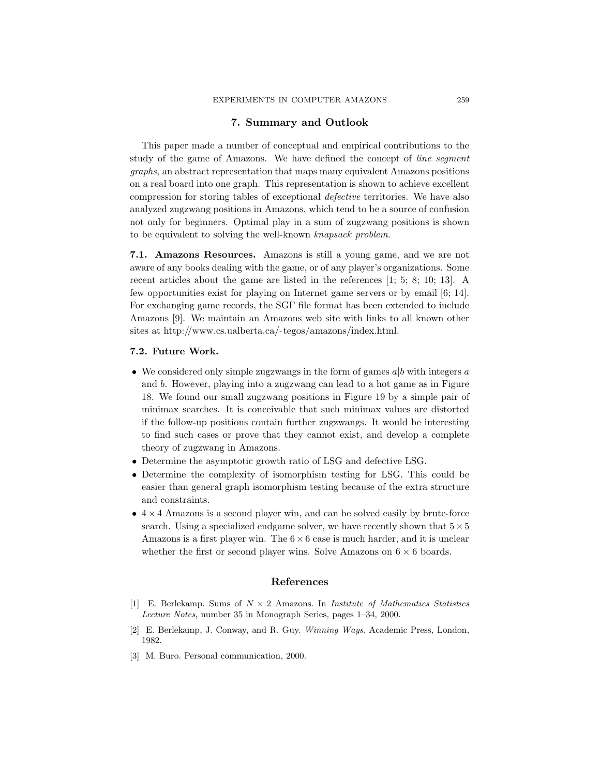# 7. Summary and Outlook

This paper made a number of conceptual and empirical contributions to the study of the game of Amazons. We have defined the concept of line segment graphs, an abstract representation that maps many equivalent Amazons positions on a real board into one graph. This representation is shown to achieve excellent compression for storing tables of exceptional defective territories. We have also analyzed zugzwang positions in Amazons, which tend to be a source of confusion not only for beginners. Optimal play in a sum of zugzwang positions is shown to be equivalent to solving the well-known knapsack problem.

7.1. Amazons Resources. Amazons is still a young game, and we are not aware of any books dealing with the game, or of any player's organizations. Some recent articles about the game are listed in the references [1; 5; 8; 10; 13]. A few opportunities exist for playing on Internet game servers or by email [6; 14]. For exchanging game records, the SGF file format has been extended to include Amazons [9]. We maintain an Amazons web site with links to all known other sites at http://www.cs.ualberta.ca/~tegos/amazons/index.html.

#### 7.2. Future Work.

- We considered only simple zugzwangs in the form of games  $a|b$  with integers a and b. However, playing into a zugzwang can lead to a hot game as in Figure 18. We found our small zugzwang positions in Figure 19 by a simple pair of minimax searches. It is conceivable that such minimax values are distorted if the follow-up positions contain further zugzwangs. It would be interesting to find such cases or prove that they cannot exist, and develop a complete theory of zugzwang in Amazons.
- Determine the asymptotic growth ratio of LSG and defective LSG.
- Determine the complexity of isomorphism testing for LSG. This could be easier than general graph isomorphism testing because of the extra structure and constraints.
- $\bullet$  4  $\times$  4 Amazons is a second player win, and can be solved easily by brute-force search. Using a specialized endgame solver, we have recently shown that  $5 \times 5$ Amazons is a first player win. The  $6 \times 6$  case is much harder, and it is unclear whether the first or second player wins. Solve Amazons on  $6 \times 6$  boards.

#### References

- [1] E. Berlekamp. Sums of  $N \times 2$  Amazons. In *Institute of Mathematics Statistics* Lecture Notes, number 35 in Monograph Series, pages 1–34, 2000.
- [2] E. Berlekamp, J. Conway, and R. Guy. Winning Ways. Academic Press, London, 1982.
- [3] M. Buro. Personal communication, 2000.